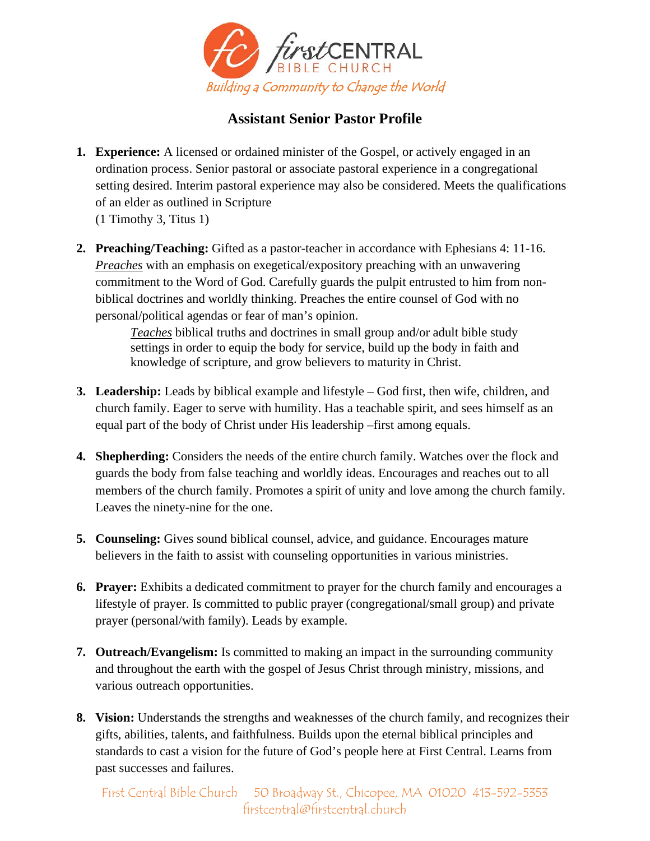

## **Assistant Senior Pastor Profile**

- **1. Experience:** A licensed or ordained minister of the Gospel, or actively engaged in an ordination process. Senior pastoral or associate pastoral experience in a congregational setting desired. Interim pastoral experience may also be considered. Meets the qualifications of an elder as outlined in Scripture (1 Timothy 3, Titus 1)
- **2. Preaching/Teaching:** Gifted as a pastor-teacher in accordance with Ephesians 4: 11-16. *Preaches* with an emphasis on exegetical/expository preaching with an unwavering commitment to the Word of God. Carefully guards the pulpit entrusted to him from nonbiblical doctrines and worldly thinking. Preaches the entire counsel of God with no personal/political agendas or fear of man's opinion.

 *Teaches* biblical truths and doctrines in small group and/or adult bible study settings in order to equip the body for service, build up the body in faith and knowledge of scripture, and grow believers to maturity in Christ.

- **3.** Leadership: Leads by biblical example and lifestyle God first, then wife, children, and church family. Eager to serve with humility. Has a teachable spirit, and sees himself as an equal part of the body of Christ under His leadership –first among equals.
- **4. Shepherding:** Considers the needs of the entire church family. Watches over the flock and guards the body from false teaching and worldly ideas. Encourages and reaches out to all members of the church family. Promotes a spirit of unity and love among the church family. Leaves the ninety-nine for the one.
- **5. Counseling:** Gives sound biblical counsel, advice, and guidance. Encourages mature believers in the faith to assist with counseling opportunities in various ministries.
- **6. Prayer:** Exhibits a dedicated commitment to prayer for the church family and encourages a lifestyle of prayer. Is committed to public prayer (congregational/small group) and private prayer (personal/with family). Leads by example.
- **7. Outreach/Evangelism:** Is committed to making an impact in the surrounding community and throughout the earth with the gospel of Jesus Christ through ministry, missions, and various outreach opportunities.
- **8. Vision:** Understands the strengths and weaknesses of the church family, and recognizes their gifts, abilities, talents, and faithfulness. Builds upon the eternal biblical principles and standards to cast a vision for the future of God's people here at First Central. Learns from past successes and failures.